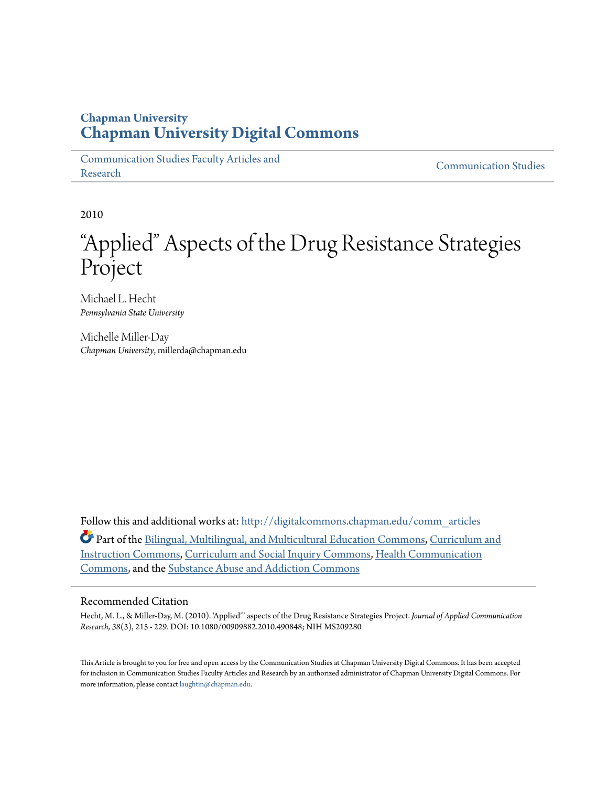# **Chapman University [Chapman University Digital Commons](http://digitalcommons.chapman.edu?utm_source=digitalcommons.chapman.edu%2Fcomm_articles%2F8&utm_medium=PDF&utm_campaign=PDFCoverPages)**

[Communication Studies Faculty Articles and](http://digitalcommons.chapman.edu/comm_articles?utm_source=digitalcommons.chapman.edu%2Fcomm_articles%2F8&utm_medium=PDF&utm_campaign=PDFCoverPages) [Research](http://digitalcommons.chapman.edu/comm_articles?utm_source=digitalcommons.chapman.edu%2Fcomm_articles%2F8&utm_medium=PDF&utm_campaign=PDFCoverPages) [Communication Studies](http://digitalcommons.chapman.edu/communication?utm_source=digitalcommons.chapman.edu%2Fcomm_articles%2F8&utm_medium=PDF&utm_campaign=PDFCoverPages)

2010

# "Applied" Aspects of the Drug Resistance Strategies Project

Michael L. Hecht *Pennsylvania State University*

Michelle Miller-Day *Chapman University*, millerda@chapman.edu

Follow this and additional works at: [http://digitalcommons.chapman.edu/comm\\_articles](http://digitalcommons.chapman.edu/comm_articles?utm_source=digitalcommons.chapman.edu%2Fcomm_articles%2F8&utm_medium=PDF&utm_campaign=PDFCoverPages) Part of the [Bilingual, Multilingual, and Multicultural Education Commons](http://network.bepress.com/hgg/discipline/785?utm_source=digitalcommons.chapman.edu%2Fcomm_articles%2F8&utm_medium=PDF&utm_campaign=PDFCoverPages), [Curriculum and](http://network.bepress.com/hgg/discipline/786?utm_source=digitalcommons.chapman.edu%2Fcomm_articles%2F8&utm_medium=PDF&utm_campaign=PDFCoverPages) [Instruction Commons](http://network.bepress.com/hgg/discipline/786?utm_source=digitalcommons.chapman.edu%2Fcomm_articles%2F8&utm_medium=PDF&utm_campaign=PDFCoverPages), [Curriculum and Social Inquiry Commons](http://network.bepress.com/hgg/discipline/1038?utm_source=digitalcommons.chapman.edu%2Fcomm_articles%2F8&utm_medium=PDF&utm_campaign=PDFCoverPages), [Health Communication](http://network.bepress.com/hgg/discipline/330?utm_source=digitalcommons.chapman.edu%2Fcomm_articles%2F8&utm_medium=PDF&utm_campaign=PDFCoverPages) [Commons,](http://network.bepress.com/hgg/discipline/330?utm_source=digitalcommons.chapman.edu%2Fcomm_articles%2F8&utm_medium=PDF&utm_campaign=PDFCoverPages) and the [Substance Abuse and Addiction Commons](http://network.bepress.com/hgg/discipline/710?utm_source=digitalcommons.chapman.edu%2Fcomm_articles%2F8&utm_medium=PDF&utm_campaign=PDFCoverPages)

#### Recommended Citation

Hecht, M. L., & Miller-Day, M. (2010). 'Applied'" aspects of the Drug Resistance Strategies Project. *Journal of Applied Communication Research, 38*(3), 215 - 229. DOI: 10.1080/00909882.2010.490848; NIH MS209280

This Article is brought to you for free and open access by the Communication Studies at Chapman University Digital Commons. It has been accepted for inclusion in Communication Studies Faculty Articles and Research by an authorized administrator of Chapman University Digital Commons. For more information, please contact [laughtin@chapman.edu](mailto:laughtin@chapman.edu).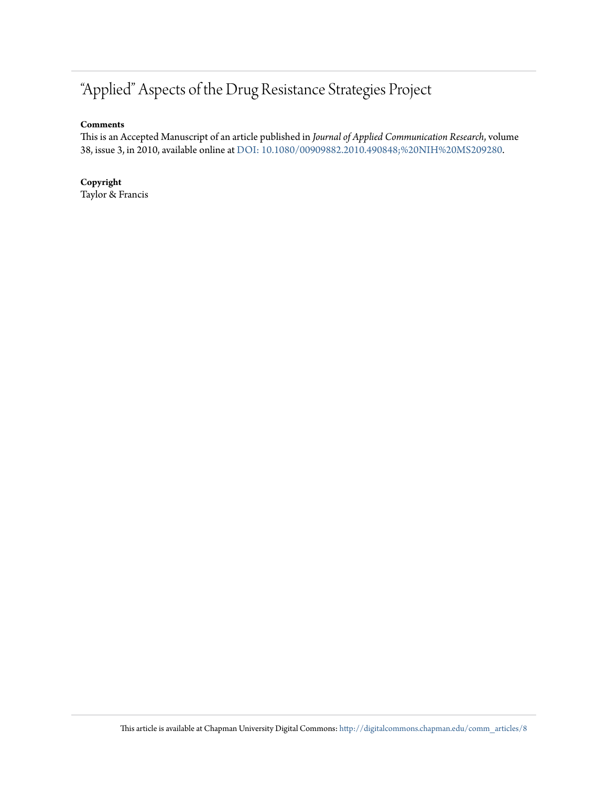# "Applied" Aspects of the Drug Resistance Strategies Project

### **Comments**

This is an Accepted Manuscript of an article published in *Journal of Applied Communication Research*, volume 38, issue 3, in 2010, available online at [DOI: 10.1080/00909882.2010.490848;%20NIH%20MS209280.](http://www.dx.doi.org/10.1080/00909882.2010.490848;%20NIH%20MS209280)

**Copyright** Taylor & Francis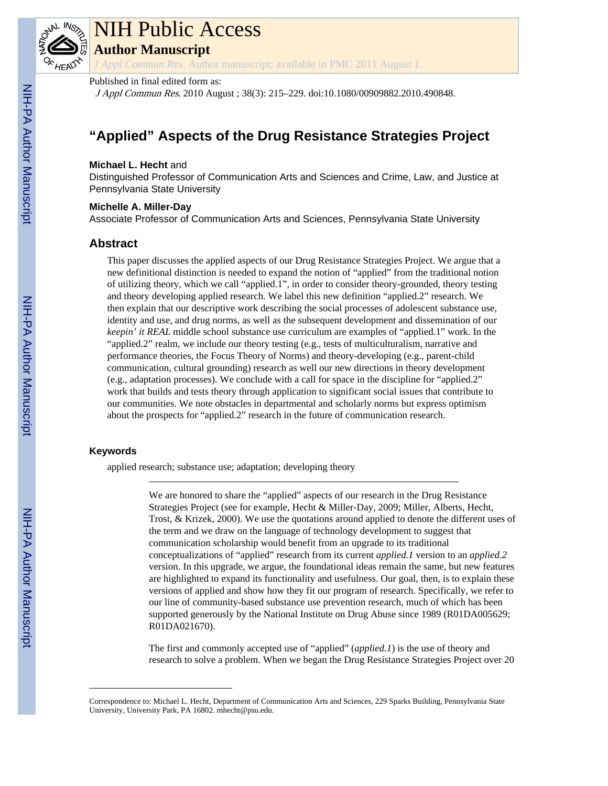

# NIH Public Access

**Author Manuscript**

*J Appl Commun Res*. Author manuscript; available in PMC 2011 August 1.

# Published in final edited form as:

J Appl Commun Res. 2010 August ; 38(3): 215–229. doi:10.1080/00909882.2010.490848.

# **"Applied" Aspects of the Drug Resistance Strategies Project**

#### **Michael L. Hecht** and

Distinguished Professor of Communication Arts and Sciences and Crime, Law, and Justice at Pennsylvania State University

#### **Michelle A. Miller-Day**

Associate Professor of Communication Arts and Sciences, Pennsylvania State University

### **Abstract**

This paper discusses the applied aspects of our Drug Resistance Strategies Project. We argue that a new definitional distinction is needed to expand the notion of "applied" from the traditional notion of utilizing theory, which we call "applied.1", in order to consider theory-grounded, theory testing and theory developing applied research. We label this new definition "applied.2" research. We then explain that our descriptive work describing the social processes of adolescent substance use, identity and use, and drug norms, as well as the subsequent development and dissemination of our *keepin' it REAL* middle school substance use curriculum are examples of "applied.1" work. In the "applied.2" realm, we include our theory testing (e.g., tests of multiculturalism, narrative and performance theories, the Focus Theory of Norms) and theory-developing (e.g., parent-child communication, cultural grounding) research as well our new directions in theory development (e.g., adaptation processes). We conclude with a call for space in the discipline for "applied.2" work that builds and tests theory through application to significant social issues that contribute to our communities. We note obstacles in departmental and scholarly norms but express optimism about the prospects for "applied.2" research in the future of communication research.

#### **Keywords**

applied research; substance use; adaptation; developing theory

We are honored to share the "applied" aspects of our research in the Drug Resistance Strategies Project (see for example, Hecht & Miller-Day, 2009; Miller, Alberts, Hecht, Trost, & Krizek, 2000). We use the quotations around applied to denote the different uses of the term and we draw on the language of technology development to suggest that communication scholarship would benefit from an upgrade to its traditional conceptualizations of "applied" research from its current *applied.1* version to an *applied.2* version. In this upgrade, we argue, the foundational ideas remain the same, but new features are highlighted to expand its functionality and usefulness. Our goal, then, is to explain these versions of applied and show how they fit our program of research. Specifically, we refer to our line of community-based substance use prevention research, much of which has been supported generously by the National Institute on Drug Abuse since 1989 (R01DA005629; R01DA021670).

The first and commonly accepted use of "applied" (*applied.1*) is the use of theory and research to solve a problem. When we began the Drug Resistance Strategies Project over 20

Correspondence to: Michael L. Hecht, Department of Communication Arts and Sciences, 229 Sparks Building, Pennsylvania State University, University Park, PA 16802. mhecht@psu.edu.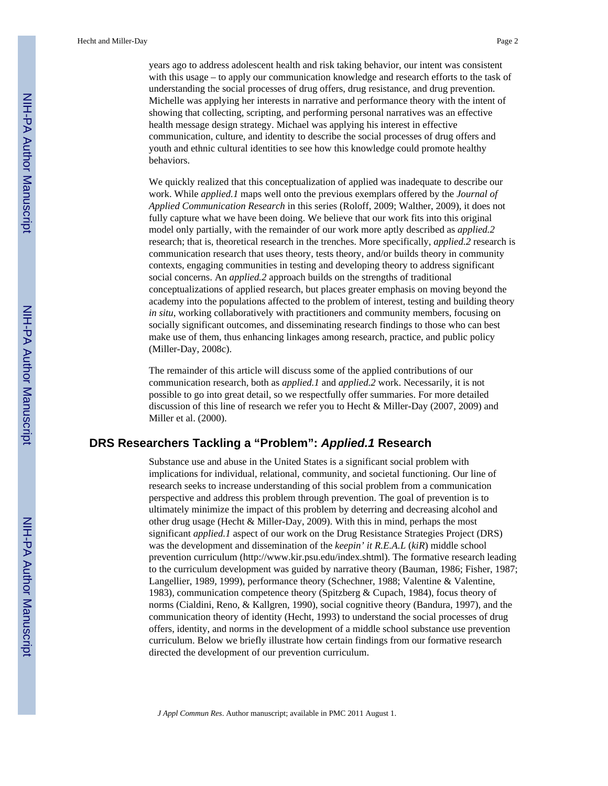years ago to address adolescent health and risk taking behavior, our intent was consistent with this usage – to apply our communication knowledge and research efforts to the task of understanding the social processes of drug offers, drug resistance, and drug prevention.

Michelle was applying her interests in narrative and performance theory with the intent of showing that collecting, scripting, and performing personal narratives was an effective health message design strategy. Michael was applying his interest in effective communication, culture, and identity to describe the social processes of drug offers and youth and ethnic cultural identities to see how this knowledge could promote healthy behaviors.

We quickly realized that this conceptualization of applied was inadequate to describe our work. While *applied.1* maps well onto the previous exemplars offered by the *Journal of Applied Communication Research* in this series (Roloff, 2009; Walther, 2009), it does not fully capture what we have been doing. We believe that our work fits into this original model only partially, with the remainder of our work more aptly described as *applied.2* research; that is, theoretical research in the trenches. More specifically, *applied.2* research is communication research that uses theory, tests theory, and/or builds theory in community contexts, engaging communities in testing and developing theory to address significant social concerns. An *applied.2* approach builds on the strengths of traditional conceptualizations of applied research, but places greater emphasis on moving beyond the academy into the populations affected to the problem of interest, testing and building theory *in situ*, working collaboratively with practitioners and community members, focusing on socially significant outcomes, and disseminating research findings to those who can best make use of them, thus enhancing linkages among research, practice, and public policy (Miller-Day, 2008c).

The remainder of this article will discuss some of the applied contributions of our communication research, both as *applied.1* and *applied.2* work. Necessarily, it is not possible to go into great detail, so we respectfully offer summaries. For more detailed discussion of this line of research we refer you to Hecht & Miller-Day (2007, 2009) and Miller et al. (2000).

# **DRS Researchers Tackling a "Problem":** *Applied.1* **Research**

Substance use and abuse in the United States is a significant social problem with implications for individual, relational, community, and societal functioning. Our line of research seeks to increase understanding of this social problem from a communication perspective and address this problem through prevention. The goal of prevention is to ultimately minimize the impact of this problem by deterring and decreasing alcohol and other drug usage (Hecht  $\&$  Miller-Day, 2009). With this in mind, perhaps the most significant *applied.1* aspect of our work on the Drug Resistance Strategies Project (DRS) was the development and dissemination of the *keepin' it R.E.A.L* (*kiR*) middle school prevention curriculum (<http://www.kir.psu.edu/index.shtml>). The formative research leading to the curriculum development was guided by narrative theory (Bauman, 1986; Fisher, 1987; Langellier, 1989, 1999), performance theory (Schechner, 1988; Valentine & Valentine, 1983), communication competence theory (Spitzberg & Cupach, 1984), focus theory of norms (Cialdini, Reno, & Kallgren, 1990), social cognitive theory (Bandura, 1997), and the communication theory of identity (Hecht, 1993) to understand the social processes of drug offers, identity, and norms in the development of a middle school substance use prevention curriculum. Below we briefly illustrate how certain findings from our formative research directed the development of our prevention curriculum.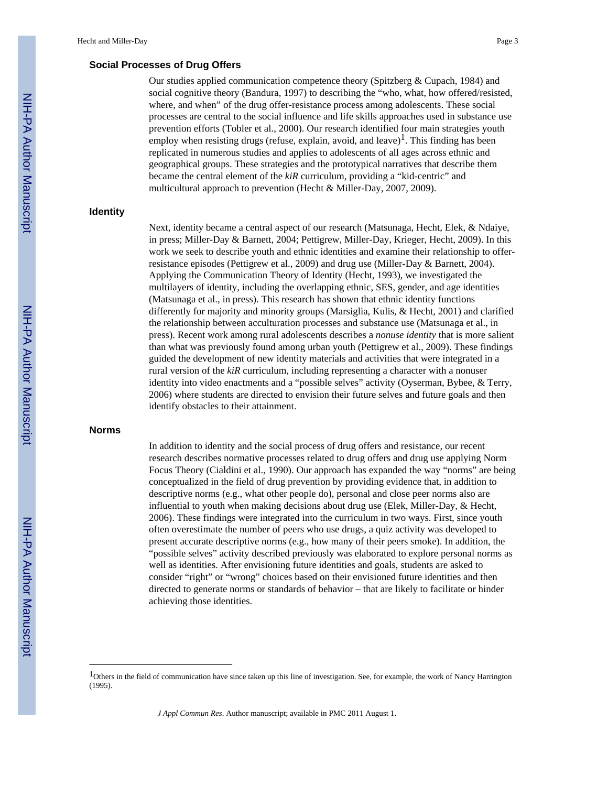#### **Social Processes of Drug Offers**

Our studies applied communication competence theory (Spitzberg & Cupach, 1984) and social cognitive theory (Bandura, 1997) to describing the "who, what, how offered/resisted, where, and when" of the drug offer-resistance process among adolescents. These social processes are central to the social influence and life skills approaches used in substance use prevention efforts (Tobler et al., 2000). Our research identified four main strategies youth employ when resisting drugs (refuse, explain, avoid, and leave)<sup>1</sup>. This finding has been replicated in numerous studies and applies to adolescents of all ages across ethnic and geographical groups. These strategies and the prototypical narratives that describe them became the central element of the *kiR* curriculum, providing a "kid-centric" and multicultural approach to prevention (Hecht & Miller-Day, 2007, 2009).

#### **Identity**

Next, identity became a central aspect of our research (Matsunaga, Hecht, Elek, & Ndaiye, in press; Miller-Day & Barnett, 2004; Pettigrew, Miller-Day, Krieger, Hecht, 2009). In this work we seek to describe youth and ethnic identities and examine their relationship to offerresistance episodes (Pettigrew et al., 2009) and drug use (Miller-Day & Barnett, 2004). Applying the Communication Theory of Identity (Hecht, 1993), we investigated the multilayers of identity, including the overlapping ethnic, SES, gender, and age identities (Matsunaga et al., in press). This research has shown that ethnic identity functions differently for majority and minority groups (Marsiglia, Kulis, & Hecht, 2001) and clarified the relationship between acculturation processes and substance use (Matsunaga et al., in press). Recent work among rural adolescents describes a *nonuse identity* that is more salient than what was previously found among urban youth (Pettigrew et al., 2009). These findings guided the development of new identity materials and activities that were integrated in a rural version of the *kiR* curriculum, including representing a character with a nonuser identity into video enactments and a "possible selves" activity (Oyserman, Bybee, & Terry, 2006) where students are directed to envision their future selves and future goals and then identify obstacles to their attainment.

#### **Norms**

In addition to identity and the social process of drug offers and resistance, our recent research describes normative processes related to drug offers and drug use applying Norm Focus Theory (Cialdini et al., 1990). Our approach has expanded the way "norms" are being conceptualized in the field of drug prevention by providing evidence that, in addition to descriptive norms (e.g., what other people do), personal and close peer norms also are influential to youth when making decisions about drug use (Elek, Miller-Day, & Hecht, 2006). These findings were integrated into the curriculum in two ways. First, since youth often overestimate the number of peers who use drugs, a quiz activity was developed to present accurate descriptive norms (e.g., how many of their peers smoke). In addition, the "possible selves" activity described previously was elaborated to explore personal norms as well as identities. After envisioning future identities and goals, students are asked to consider "right" or "wrong" choices based on their envisioned future identities and then directed to generate norms or standards of behavior – that are likely to facilitate or hinder achieving those identities.

 $1$ Others in the field of communication have since taken up this line of investigation. See, for example, the work of Nancy Harrington (1995).

*J Appl Commun Res*. Author manuscript; available in PMC 2011 August 1.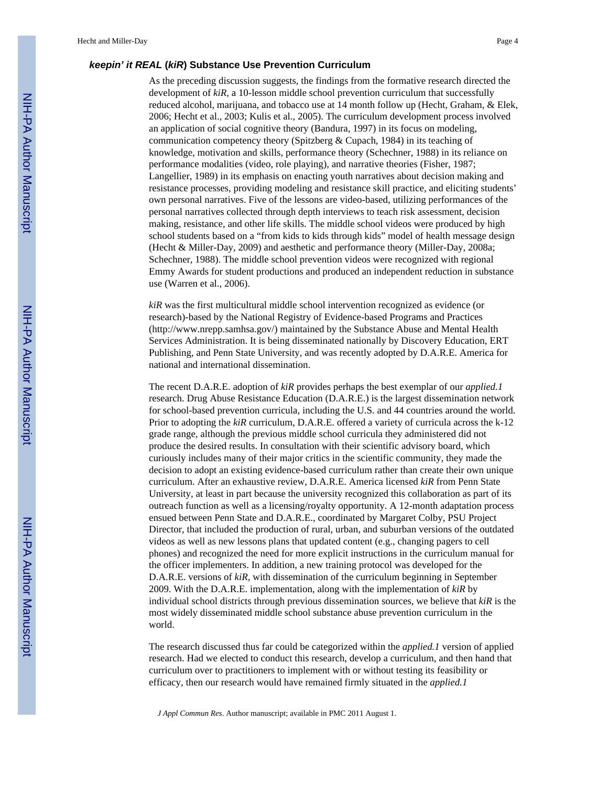#### *keepin' it REAL* **(***kiR***) Substance Use Prevention Curriculum**

As the preceding discussion suggests, the findings from the formative research directed the development of *kiR,* a 10-lesson middle school prevention curriculum that successfully reduced alcohol, marijuana, and tobacco use at 14 month follow up (Hecht, Graham, & Elek, 2006; Hecht et al., 2003; Kulis et al., 2005). The curriculum development process involved an application of social cognitive theory (Bandura, 1997) in its focus on modeling, communication competency theory (Spitzberg & Cupach, 1984) in its teaching of knowledge, motivation and skills, performance theory (Schechner, 1988) in its reliance on performance modalities (video, role playing), and narrative theories (Fisher, 1987; Langellier, 1989) in its emphasis on enacting youth narratives about decision making and resistance processes, providing modeling and resistance skill practice, and eliciting students' own personal narratives. Five of the lessons are video-based, utilizing performances of the personal narratives collected through depth interviews to teach risk assessment, decision making, resistance, and other life skills. The middle school videos were produced by high school students based on a "from kids to kids through kids" model of health message design (Hecht & Miller-Day, 2009) and aesthetic and performance theory (Miller-Day, 2008a; Schechner, 1988). The middle school prevention videos were recognized with regional Emmy Awards for student productions and produced an independent reduction in substance use (Warren et al., 2006).

*kiR* was the first multicultural middle school intervention recognized as evidence (or research)-based by the National Registry of Evidence-based Programs and Practices [\(http://www.nrepp.samhsa.gov/](http://www.nrepp.samhsa.gov/)) maintained by the Substance Abuse and Mental Health Services Administration. It is being disseminated nationally by Discovery Education, ERT Publishing, and Penn State University, and was recently adopted by D.A.R.E. America for national and international dissemination.

The recent D.A.R.E. adoption of *kiR* provides perhaps the best exemplar of our *applied.1* research. Drug Abuse Resistance Education (D.A.R.E.) is the largest dissemination network for school-based prevention curricula, including the U.S. and 44 countries around the world. Prior to adopting the *kiR* curriculum, D.A.R.E. offered a variety of curricula across the k-12 grade range, although the previous middle school curricula they administered did not produce the desired results. In consultation with their scientific advisory board, which curiously includes many of their major critics in the scientific community, they made the decision to adopt an existing evidence-based curriculum rather than create their own unique curriculum. After an exhaustive review, D.A.R.E. America licensed *kiR* from Penn State University, at least in part because the university recognized this collaboration as part of its outreach function as well as a licensing/royalty opportunity. A 12-month adaptation process ensued between Penn State and D.A.R.E., coordinated by Margaret Colby, PSU Project Director, that included the production of rural, urban, and suburban versions of the outdated videos as well as new lessons plans that updated content (e.g., changing pagers to cell phones) and recognized the need for more explicit instructions in the curriculum manual for the officer implementers. In addition, a new training protocol was developed for the D.A.R.E. versions of *kiR*, with dissemination of the curriculum beginning in September 2009. With the D.A.R.E. implementation, along with the implementation of *kiR* by individual school districts through previous dissemination sources, we believe that *kiR* is the most widely disseminated middle school substance abuse prevention curriculum in the world.

The research discussed thus far could be categorized within the *applied.1* version of applied research. Had we elected to conduct this research, develop a curriculum, and then hand that curriculum over to practitioners to implement with or without testing its feasibility or efficacy, then our research would have remained firmly situated in the *applied.1*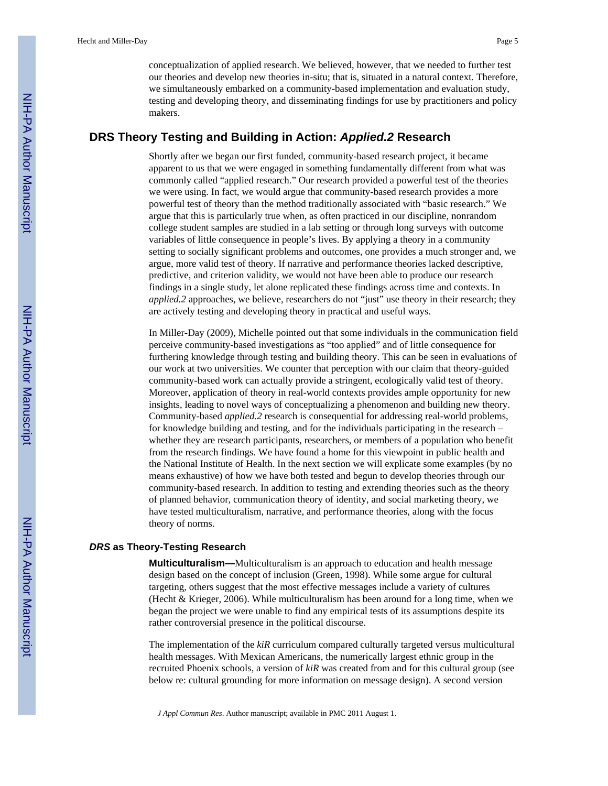conceptualization of applied research. We believed, however, that we needed to further test our theories and develop new theories in-situ; that is, situated in a natural context. Therefore, we simultaneously embarked on a community-based implementation and evaluation study, testing and developing theory, and disseminating findings for use by practitioners and policy makers.

# **DRS Theory Testing and Building in Action:** *Applied.2* **Research**

Shortly after we began our first funded, community-based research project, it became apparent to us that we were engaged in something fundamentally different from what was commonly called "applied research." Our research provided a powerful test of the theories we were using. In fact, we would argue that community-based research provides a more powerful test of theory than the method traditionally associated with "basic research." We argue that this is particularly true when, as often practiced in our discipline, nonrandom college student samples are studied in a lab setting or through long surveys with outcome variables of little consequence in people's lives. By applying a theory in a community setting to socially significant problems and outcomes, one provides a much stronger and, we argue, more valid test of theory. If narrative and performance theories lacked descriptive, predictive, and criterion validity, we would not have been able to produce our research findings in a single study, let alone replicated these findings across time and contexts. In *applied.2* approaches, we believe, researchers do not "just" use theory in their research; they are actively testing and developing theory in practical and useful ways.

In Miller-Day (2009), Michelle pointed out that some individuals in the communication field perceive community-based investigations as "too applied" and of little consequence for furthering knowledge through testing and building theory. This can be seen in evaluations of our work at two universities. We counter that perception with our claim that theory-guided community-based work can actually provide a stringent, ecologically valid test of theory. Moreover, application of theory in real-world contexts provides ample opportunity for new insights, leading to novel ways of conceptualizing a phenomenon and building new theory. Community-based *applied.2* research is consequential for addressing real-world problems, for knowledge building and testing, and for the individuals participating in the research – whether they are research participants, researchers, or members of a population who benefit from the research findings. We have found a home for this viewpoint in public health and the National Institute of Health. In the next section we will explicate some examples (by no means exhaustive) of how we have both tested and begun to develop theories through our community-based research. In addition to testing and extending theories such as the theory of planned behavior, communication theory of identity, and social marketing theory, we have tested multiculturalism, narrative, and performance theories, along with the focus theory of norms.

#### *DRS* **as Theory-Testing Research**

**Multiculturalism—**Multiculturalism is an approach to education and health message design based on the concept of inclusion (Green, 1998). While some argue for cultural targeting, others suggest that the most effective messages include a variety of cultures (Hecht & Krieger, 2006). While multiculturalism has been around for a long time, when we began the project we were unable to find any empirical tests of its assumptions despite its rather controversial presence in the political discourse.

The implementation of the *kiR* curriculum compared culturally targeted versus multicultural health messages. With Mexican Americans, the numerically largest ethnic group in the recruited Phoenix schools, a version of *kiR* was created from and for this cultural group (see below re: cultural grounding for more information on message design). A second version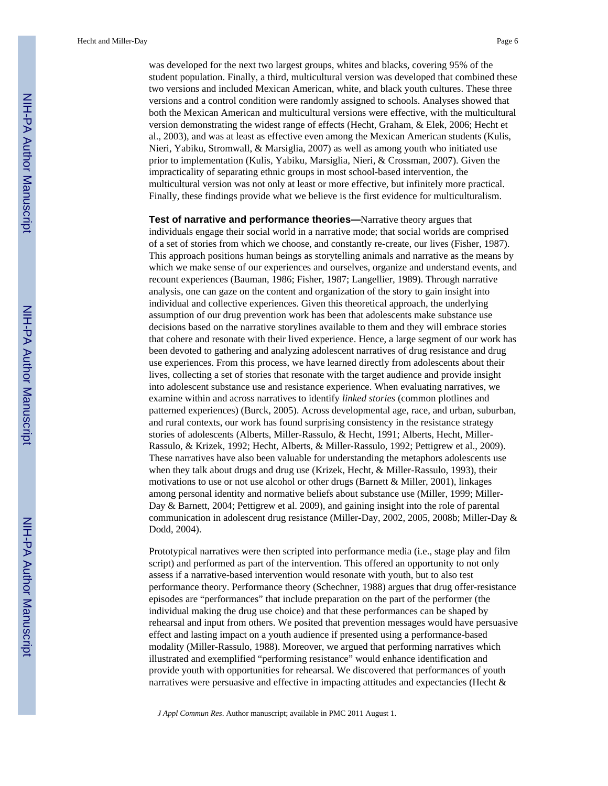Hecht and Miller-Day Page 6

was developed for the next two largest groups, whites and blacks, covering 95% of the student population. Finally, a third, multicultural version was developed that combined these two versions and included Mexican American, white, and black youth cultures. These three versions and a control condition were randomly assigned to schools. Analyses showed that both the Mexican American and multicultural versions were effective, with the multicultural version demonstrating the widest range of effects (Hecht, Graham, & Elek, 2006; Hecht et al., 2003), and was at least as effective even among the Mexican American students (Kulis, Nieri, Yabiku, Stromwall, & Marsiglia, 2007) as well as among youth who initiated use prior to implementation (Kulis, Yabiku, Marsiglia, Nieri, & Crossman, 2007). Given the impracticality of separating ethnic groups in most school-based intervention, the multicultural version was not only at least or more effective, but infinitely more practical. Finally, these findings provide what we believe is the first evidence for multiculturalism.

**Test of narrative and performance theories—**Narrative theory argues that individuals engage their social world in a narrative mode; that social worlds are comprised of a set of stories from which we choose, and constantly re-create, our lives (Fisher, 1987). This approach positions human beings as storytelling animals and narrative as the means by which we make sense of our experiences and ourselves, organize and understand events, and recount experiences (Bauman, 1986; Fisher, 1987; Langellier, 1989). Through narrative analysis, one can gaze on the content and organization of the story to gain insight into individual and collective experiences. Given this theoretical approach, the underlying assumption of our drug prevention work has been that adolescents make substance use decisions based on the narrative storylines available to them and they will embrace stories that cohere and resonate with their lived experience. Hence, a large segment of our work has been devoted to gathering and analyzing adolescent narratives of drug resistance and drug use experiences. From this process, we have learned directly from adolescents about their lives, collecting a set of stories that resonate with the target audience and provide insight into adolescent substance use and resistance experience. When evaluating narratives, we examine within and across narratives to identify *linked stories* (common plotlines and patterned experiences) (Burck, 2005). Across developmental age, race, and urban, suburban, and rural contexts, our work has found surprising consistency in the resistance strategy stories of adolescents (Alberts, Miller-Rassulo, & Hecht, 1991; Alberts, Hecht, Miller-Rassulo, & Krizek, 1992; Hecht, Alberts, & Miller-Rassulo, 1992; Pettigrew et al., 2009). These narratives have also been valuable for understanding the metaphors adolescents use when they talk about drugs and drug use (Krizek, Hecht, & Miller-Rassulo, 1993), their motivations to use or not use alcohol or other drugs (Barnett & Miller, 2001), linkages among personal identity and normative beliefs about substance use (Miller, 1999; Miller-Day & Barnett, 2004; Pettigrew et al. 2009), and gaining insight into the role of parental communication in adolescent drug resistance (Miller-Day, 2002, 2005, 2008b; Miller-Day & Dodd, 2004).

Prototypical narratives were then scripted into performance media (i.e., stage play and film script) and performed as part of the intervention. This offered an opportunity to not only assess if a narrative-based intervention would resonate with youth, but to also test performance theory. Performance theory (Schechner, 1988) argues that drug offer-resistance episodes are "performances" that include preparation on the part of the performer (the individual making the drug use choice) and that these performances can be shaped by rehearsal and input from others. We posited that prevention messages would have persuasive effect and lasting impact on a youth audience if presented using a performance-based modality (Miller-Rassulo, 1988). Moreover, we argued that performing narratives which illustrated and exemplified "performing resistance" would enhance identification and provide youth with opportunities for rehearsal. We discovered that performances of youth narratives were persuasive and effective in impacting attitudes and expectancies (Hecht &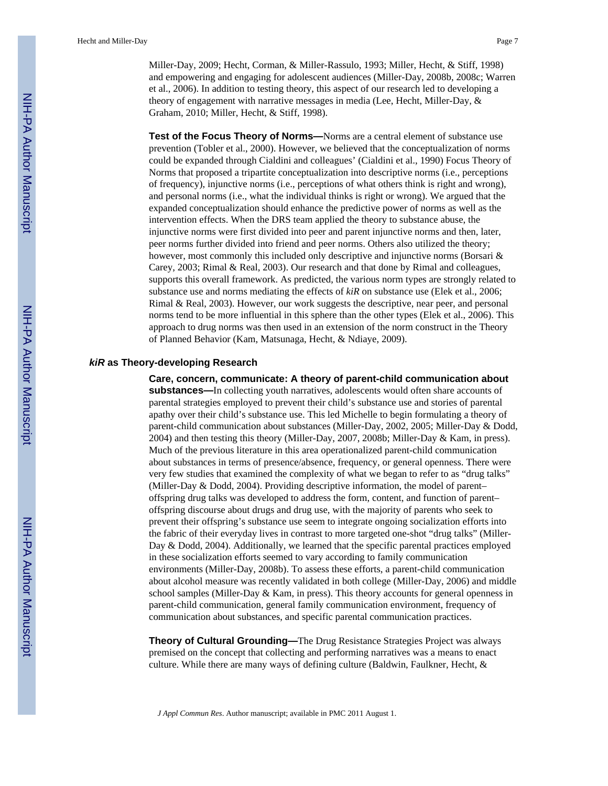Miller-Day, 2009; Hecht, Corman, & Miller-Rassulo, 1993; Miller, Hecht, & Stiff, 1998) and empowering and engaging for adolescent audiences (Miller-Day, 2008b, 2008c; Warren et al., 2006). In addition to testing theory, this aspect of our research led to developing a theory of engagement with narrative messages in media (Lee, Hecht, Miller-Day, & Graham, 2010; Miller, Hecht, & Stiff, 1998).

**Test of the Focus Theory of Norms—**Norms are a central element of substance use prevention (Tobler et al., 2000). However, we believed that the conceptualization of norms could be expanded through Cialdini and colleagues' (Cialdini et al., 1990) Focus Theory of Norms that proposed a tripartite conceptualization into descriptive norms (i.e., perceptions of frequency), injunctive norms (i.e., perceptions of what others think is right and wrong), and personal norms (i.e., what the individual thinks is right or wrong). We argued that the expanded conceptualization should enhance the predictive power of norms as well as the intervention effects. When the DRS team applied the theory to substance abuse, the injunctive norms were first divided into peer and parent injunctive norms and then, later, peer norms further divided into friend and peer norms. Others also utilized the theory; however, most commonly this included only descriptive and injunctive norms (Borsari & Carey, 2003; Rimal & Real, 2003). Our research and that done by Rimal and colleagues, supports this overall framework. As predicted, the various norm types are strongly related to substance use and norms mediating the effects of *kiR* on substance use (Elek et al., 2006; Rimal & Real, 2003). However, our work suggests the descriptive, near peer, and personal norms tend to be more influential in this sphere than the other types (Elek et al., 2006). This approach to drug norms was then used in an extension of the norm construct in the Theory of Planned Behavior (Kam, Matsunaga, Hecht, & Ndiaye, 2009).

#### *kiR* **as Theory-developing Research**

**Care, concern, communicate: A theory of parent-child communication about substances—**In collecting youth narratives, adolescents would often share accounts of parental strategies employed to prevent their child's substance use and stories of parental apathy over their child's substance use. This led Michelle to begin formulating a theory of parent-child communication about substances (Miller-Day, 2002, 2005; Miller-Day & Dodd, 2004) and then testing this theory (Miller-Day, 2007, 2008b; Miller-Day & Kam, in press). Much of the previous literature in this area operationalized parent-child communication about substances in terms of presence/absence, frequency, or general openness. There were very few studies that examined the complexity of what we began to refer to as "drug talks" (Miller-Day & Dodd, 2004). Providing descriptive information, the model of parent– offspring drug talks was developed to address the form, content, and function of parent– offspring discourse about drugs and drug use, with the majority of parents who seek to prevent their offspring's substance use seem to integrate ongoing socialization efforts into the fabric of their everyday lives in contrast to more targeted one-shot "drug talks" (Miller-Day & Dodd, 2004). Additionally, we learned that the specific parental practices employed in these socialization efforts seemed to vary according to family communication environments (Miller-Day, 2008b). To assess these efforts, a parent-child communication about alcohol measure was recently validated in both college (Miller-Day, 2006) and middle school samples (Miller-Day & Kam, in press). This theory accounts for general openness in parent-child communication, general family communication environment, frequency of communication about substances, and specific parental communication practices.

**Theory of Cultural Grounding—**The Drug Resistance Strategies Project was always premised on the concept that collecting and performing narratives was a means to enact culture. While there are many ways of defining culture (Baldwin, Faulkner, Hecht, &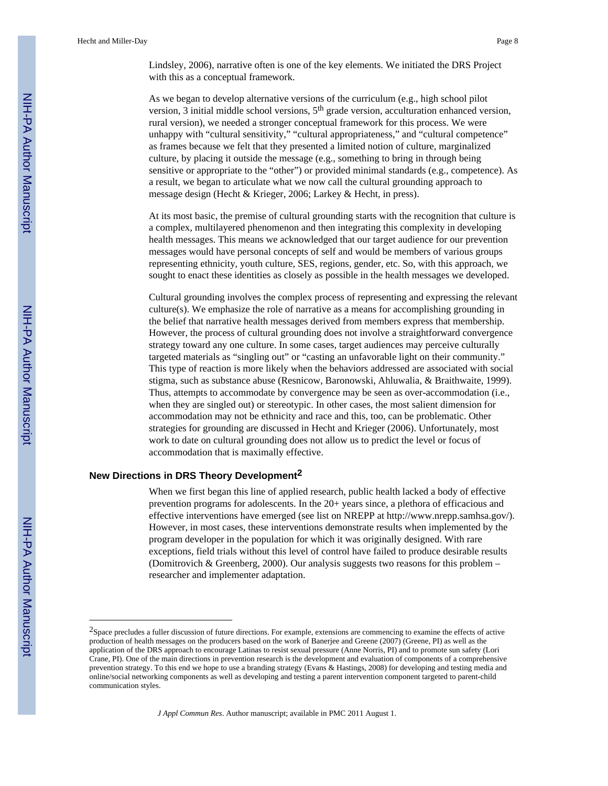Lindsley, 2006), narrative often is one of the key elements. We initiated the DRS Project with this as a conceptual framework.

As we began to develop alternative versions of the curriculum (e.g., high school pilot version, 3 initial middle school versions,  $5<sup>th</sup>$  grade version, acculturation enhanced version, rural version), we needed a stronger conceptual framework for this process. We were unhappy with "cultural sensitivity," "cultural appropriateness," and "cultural competence" as frames because we felt that they presented a limited notion of culture, marginalized culture, by placing it outside the message (e.g., something to bring in through being sensitive or appropriate to the "other") or provided minimal standards (e.g., competence). As a result, we began to articulate what we now call the cultural grounding approach to message design (Hecht & Krieger, 2006; Larkey & Hecht, in press).

At its most basic, the premise of cultural grounding starts with the recognition that culture is a complex, multilayered phenomenon and then integrating this complexity in developing health messages. This means we acknowledged that our target audience for our prevention messages would have personal concepts of self and would be members of various groups representing ethnicity, youth culture, SES, regions, gender, etc. So, with this approach, we sought to enact these identities as closely as possible in the health messages we developed.

Cultural grounding involves the complex process of representing and expressing the relevant  $culture(s)$ . We emphasize the role of narrative as a means for accomplishing grounding in the belief that narrative health messages derived from members express that membership. However, the process of cultural grounding does not involve a straightforward convergence strategy toward any one culture. In some cases, target audiences may perceive culturally targeted materials as "singling out" or "casting an unfavorable light on their community." This type of reaction is more likely when the behaviors addressed are associated with social stigma, such as substance abuse (Resnicow, Baronowski, Ahluwalia, & Braithwaite, 1999). Thus, attempts to accommodate by convergence may be seen as over-accommodation (i.e., when they are singled out) or stereotypic. In other cases, the most salient dimension for accommodation may not be ethnicity and race and this, too, can be problematic. Other strategies for grounding are discussed in Hecht and Krieger (2006). Unfortunately, most work to date on cultural grounding does not allow us to predict the level or focus of accommodation that is maximally effective.

# **New Directions in DRS Theory Development2**

When we first began this line of applied research, public health lacked a body of effective prevention programs for adolescents. In the 20+ years since, a plethora of efficacious and effective interventions have emerged (see list on NREPP at [http://www.nrepp.samhsa.gov/\)](http://www.nrepp.samhsa.gov/). However, in most cases, these interventions demonstrate results when implemented by the program developer in the population for which it was originally designed. With rare exceptions, field trials without this level of control have failed to produce desirable results (Domitrovich & Greenberg, 2000). Our analysis suggests two reasons for this problem – researcher and implementer adaptation.

<sup>2</sup>Space precludes a fuller discussion of future directions. For example, extensions are commencing to examine the effects of active production of health messages on the producers based on the work of Banerjee and Greene (2007) (Greene, PI) as well as the application of the DRS approach to encourage Latinas to resist sexual pressure (Anne Norris, PI) and to promote sun safety (Lori Crane, PI). One of the main directions in prevention research is the development and evaluation of components of a comprehensive prevention strategy. To this end we hope to use a branding strategy (Evans & Hastings, 2008) for developing and testing media and online/social networking components as well as developing and testing a parent intervention component targeted to parent-child communication styles.

*J Appl Commun Res*. Author manuscript; available in PMC 2011 August 1.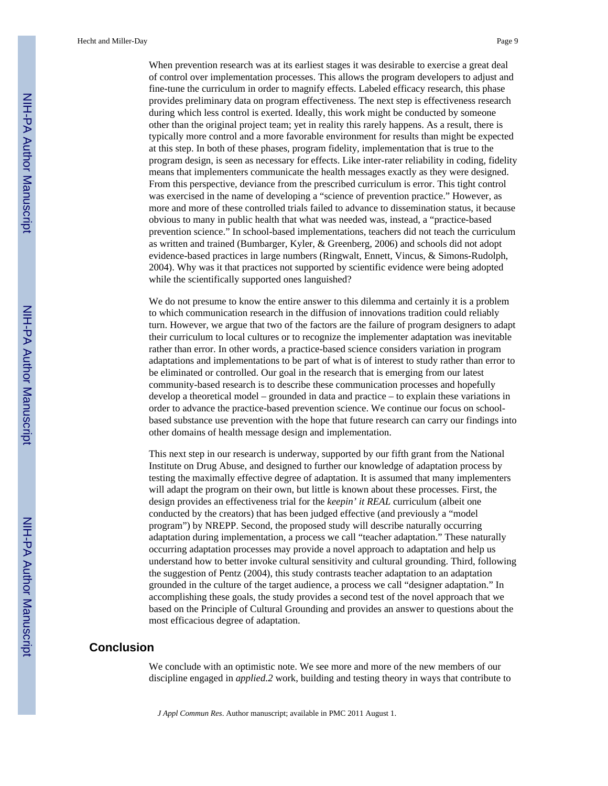When prevention research was at its earliest stages it was desirable to exercise a great deal of control over implementation processes. This allows the program developers to adjust and fine-tune the curriculum in order to magnify effects. Labeled efficacy research, this phase provides preliminary data on program effectiveness. The next step is effectiveness research during which less control is exerted. Ideally, this work might be conducted by someone other than the original project team; yet in reality this rarely happens. As a result, there is typically more control and a more favorable environment for results than might be expected at this step. In both of these phases, program fidelity, implementation that is true to the program design, is seen as necessary for effects. Like inter-rater reliability in coding, fidelity means that implementers communicate the health messages exactly as they were designed. From this perspective, deviance from the prescribed curriculum is error. This tight control was exercised in the name of developing a "science of prevention practice." However, as more and more of these controlled trials failed to advance to dissemination status, it because obvious to many in public health that what was needed was, instead, a "practice-based prevention science." In school-based implementations, teachers did not teach the curriculum as written and trained (Bumbarger, Kyler, & Greenberg, 2006) and schools did not adopt evidence-based practices in large numbers (Ringwalt, Ennett, Vincus, & Simons-Rudolph, 2004). Why was it that practices not supported by scientific evidence were being adopted while the scientifically supported ones languished?

We do not presume to know the entire answer to this dilemma and certainly it is a problem to which communication research in the diffusion of innovations tradition could reliably turn. However, we argue that two of the factors are the failure of program designers to adapt their curriculum to local cultures or to recognize the implementer adaptation was inevitable rather than error. In other words, a practice-based science considers variation in program adaptations and implementations to be part of what is of interest to study rather than error to be eliminated or controlled. Our goal in the research that is emerging from our latest community-based research is to describe these communication processes and hopefully develop a theoretical model – grounded in data and practice – to explain these variations in order to advance the practice-based prevention science. We continue our focus on schoolbased substance use prevention with the hope that future research can carry our findings into other domains of health message design and implementation.

This next step in our research is underway, supported by our fifth grant from the National Institute on Drug Abuse, and designed to further our knowledge of adaptation process by testing the maximally effective degree of adaptation. It is assumed that many implementers will adapt the program on their own, but little is known about these processes. First, the design provides an effectiveness trial for the *keepin' it REAL* curriculum (albeit one conducted by the creators) that has been judged effective (and previously a "model program") by NREPP. Second, the proposed study will describe naturally occurring adaptation during implementation, a process we call "teacher adaptation." These naturally occurring adaptation processes may provide a novel approach to adaptation and help us understand how to better invoke cultural sensitivity and cultural grounding. Third, following the suggestion of Pentz (2004), this study contrasts teacher adaptation to an adaptation grounded in the culture of the target audience, a process we call "designer adaptation." In accomplishing these goals, the study provides a second test of the novel approach that we based on the Principle of Cultural Grounding and provides an answer to questions about the most efficacious degree of adaptation.

### **Conclusion**

We conclude with an optimistic note. We see more and more of the new members of our discipline engaged in *applied.2* work, building and testing theory in ways that contribute to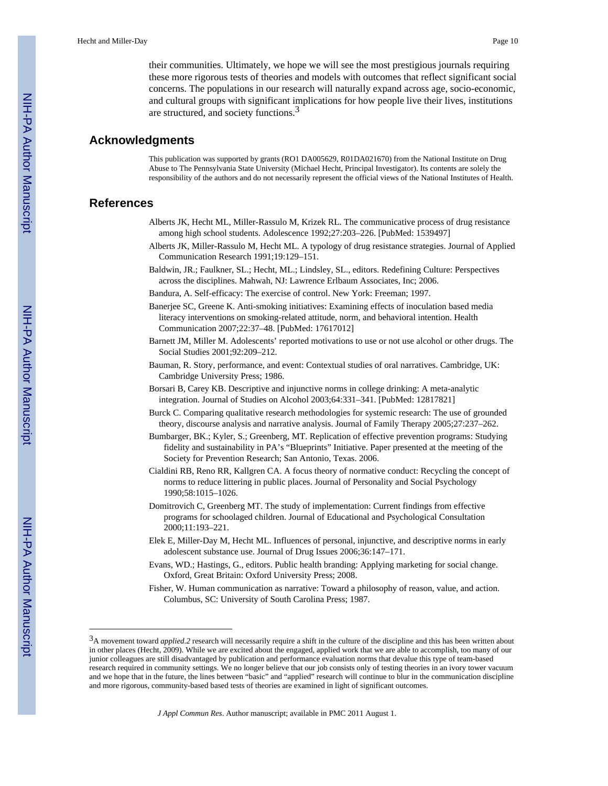their communities. Ultimately, we hope we will see the most prestigious journals requiring these more rigorous tests of theories and models with outcomes that reflect significant social concerns. The populations in our research will naturally expand across age, socio-economic, and cultural groups with significant implications for how people live their lives, institutions are structured, and society functions.<sup>3</sup>

### **Acknowledgments**

This publication was supported by grants (RO1 DA005629, R01DA021670) from the National Institute on Drug Abuse to The Pennsylvania State University (Michael Hecht, Principal Investigator). Its contents are solely the responsibility of the authors and do not necessarily represent the official views of the National Institutes of Health.

# **References**

- Alberts JK, Hecht ML, Miller-Rassulo M, Krizek RL. The communicative process of drug resistance among high school students. Adolescence 1992;27:203–226. [PubMed: 1539497]
- Alberts JK, Miller-Rassulo M, Hecht ML. A typology of drug resistance strategies. Journal of Applied Communication Research 1991;19:129–151.
- Baldwin, JR.; Faulkner, SL.; Hecht, ML.; Lindsley, SL., editors. Redefining Culture: Perspectives across the disciplines. Mahwah, NJ: Lawrence Erlbaum Associates, Inc; 2006.
- Bandura, A. Self-efficacy: The exercise of control. New York: Freeman; 1997.
- Banerjee SC, Greene K. Anti-smoking initiatives: Examining effects of inoculation based media literacy interventions on smoking-related attitude, norm, and behavioral intention. Health Communication 2007;22:37–48. [PubMed: 17617012]
- Barnett JM, Miller M. Adolescents' reported motivations to use or not use alcohol or other drugs. The Social Studies 2001;92:209–212.
- Bauman, R. Story, performance, and event: Contextual studies of oral narratives. Cambridge, UK: Cambridge University Press; 1986.
- Borsari B, Carey KB. Descriptive and injunctive norms in college drinking: A meta-analytic integration. Journal of Studies on Alcohol 2003;64:331–341. [PubMed: 12817821]
- Burck C. Comparing qualitative research methodologies for systemic research: The use of grounded theory, discourse analysis and narrative analysis. Journal of Family Therapy 2005;27:237–262.
- Bumbarger, BK.; Kyler, S.; Greenberg, MT. Replication of effective prevention programs: Studying fidelity and sustainability in PA's "Blueprints" Initiative. Paper presented at the meeting of the Society for Prevention Research; San Antonio, Texas. 2006.
- Cialdini RB, Reno RR, Kallgren CA. A focus theory of normative conduct: Recycling the concept of norms to reduce littering in public places. Journal of Personality and Social Psychology 1990;58:1015–1026.
- Domitrovich C, Greenberg MT. The study of implementation: Current findings from effective programs for schoolaged children. Journal of Educational and Psychological Consultation 2000;11:193–221.
- Elek E, Miller-Day M, Hecht ML. Influences of personal, injunctive, and descriptive norms in early adolescent substance use. Journal of Drug Issues 2006;36:147–171.
- Evans, WD.; Hastings, G., editors. Public health branding: Applying marketing for social change. Oxford, Great Britain: Oxford University Press; 2008.
- Fisher, W. Human communication as narrative: Toward a philosophy of reason, value, and action. Columbus, SC: University of South Carolina Press; 1987.

<sup>3</sup>A movement toward *applied.2* research will necessarily require a shift in the culture of the discipline and this has been written about in other places (Hecht, 2009). While we are excited about the engaged, applied work that we are able to accomplish, too many of our junior colleagues are still disadvantaged by publication and performance evaluation norms that devalue this type of team-based research required in community settings. We no longer believe that our job consists only of testing theories in an ivory tower vacuum and we hope that in the future, the lines between "basic" and "applied" research will continue to blur in the communication discipline and more rigorous, community-based based tests of theories are examined in light of significant outcomes.

*J Appl Commun Res*. Author manuscript; available in PMC 2011 August 1.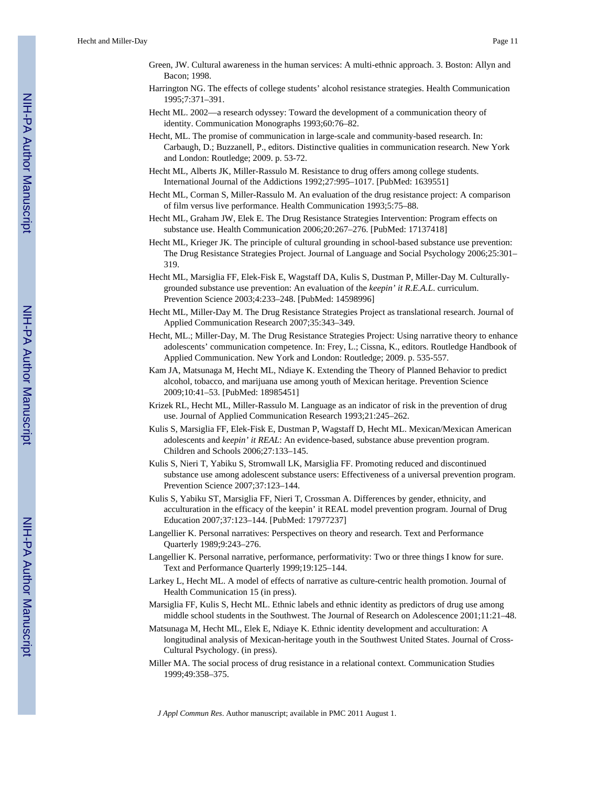- Green, JW. Cultural awareness in the human services: A multi-ethnic approach. 3. Boston: Allyn and Bacon; 1998.
- Harrington NG. The effects of college students' alcohol resistance strategies. Health Communication 1995;7:371–391.
- Hecht ML. 2002—a research odyssey: Toward the development of a communication theory of identity. Communication Monographs 1993;60:76–82.
- Hecht, ML. The promise of communication in large-scale and community-based research. In: Carbaugh, D.; Buzzanell, P., editors. Distinctive qualities in communication research. New York and London: Routledge; 2009. p. 53-72.
- Hecht ML, Alberts JK, Miller-Rassulo M. Resistance to drug offers among college students. International Journal of the Addictions 1992;27:995–1017. [PubMed: 1639551]
- Hecht ML, Corman S, Miller-Rassulo M. An evaluation of the drug resistance project: A comparison of film versus live performance. Health Communication 1993;5:75–88.
- Hecht ML, Graham JW, Elek E. The Drug Resistance Strategies Intervention: Program effects on substance use. Health Communication 2006;20:267–276. [PubMed: 17137418]
- Hecht ML, Krieger JK. The principle of cultural grounding in school-based substance use prevention: The Drug Resistance Strategies Project. Journal of Language and Social Psychology 2006;25:301– 319.
- Hecht ML, Marsiglia FF, Elek-Fisk E, Wagstaff DA, Kulis S, Dustman P, Miller-Day M. Culturallygrounded substance use prevention: An evaluation of the *keepin' it R.E.A.L*. curriculum. Prevention Science 2003;4:233–248. [PubMed: 14598996]
- Hecht ML, Miller-Day M. The Drug Resistance Strategies Project as translational research. Journal of Applied Communication Research 2007;35:343–349.
- Hecht, ML.; Miller-Day, M. The Drug Resistance Strategies Project: Using narrative theory to enhance adolescents' communication competence. In: Frey, L.; Cissna, K., editors. Routledge Handbook of Applied Communication. New York and London: Routledge; 2009. p. 535-557.
- Kam JA, Matsunaga M, Hecht ML, Ndiaye K. Extending the Theory of Planned Behavior to predict alcohol, tobacco, and marijuana use among youth of Mexican heritage. Prevention Science 2009;10:41–53. [PubMed: 18985451]
- Krizek RL, Hecht ML, Miller-Rassulo M. Language as an indicator of risk in the prevention of drug use. Journal of Applied Communication Research 1993;21:245–262.
- Kulis S, Marsiglia FF, Elek-Fisk E, Dustman P, Wagstaff D, Hecht ML. Mexican/Mexican American adolescents and *keepin' it REAL*: An evidence-based, substance abuse prevention program. Children and Schools 2006;27:133–145.
- Kulis S, Nieri T, Yabiku S, Stromwall LK, Marsiglia FF. Promoting reduced and discontinued substance use among adolescent substance users: Effectiveness of a universal prevention program. Prevention Science 2007;37:123–144.
- Kulis S, Yabiku ST, Marsiglia FF, Nieri T, Crossman A. Differences by gender, ethnicity, and acculturation in the efficacy of the keepin' it REAL model prevention program. Journal of Drug Education 2007;37:123–144. [PubMed: 17977237]
- Langellier K. Personal narratives: Perspectives on theory and research. Text and Performance Quarterly 1989;9:243–276.
- Langellier K. Personal narrative, performance, performativity: Two or three things I know for sure. Text and Performance Quarterly 1999;19:125–144.
- Larkey L, Hecht ML. A model of effects of narrative as culture-centric health promotion. Journal of Health Communication 15 (in press).
- Marsiglia FF, Kulis S, Hecht ML. Ethnic labels and ethnic identity as predictors of drug use among middle school students in the Southwest. The Journal of Research on Adolescence 2001;11:21–48.
- Matsunaga M, Hecht ML, Elek E, Ndiaye K. Ethnic identity development and acculturation: A longitudinal analysis of Mexican-heritage youth in the Southwest United States. Journal of Cross-Cultural Psychology. (in press).
- Miller MA. The social process of drug resistance in a relational context. Communication Studies 1999;49:358–375.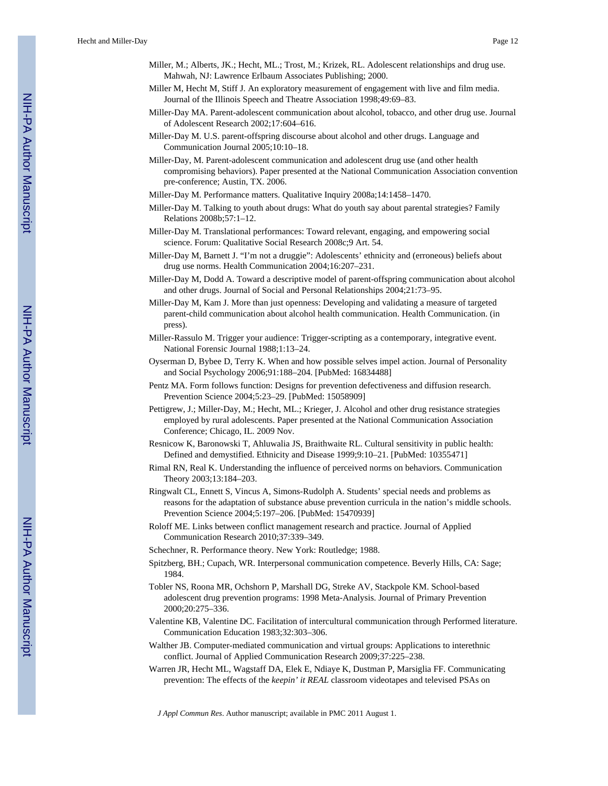- Miller, M.; Alberts, JK.; Hecht, ML.; Trost, M.; Krizek, RL. Adolescent relationships and drug use. Mahwah, NJ: Lawrence Erlbaum Associates Publishing; 2000.
- Miller M, Hecht M, Stiff J. An exploratory measurement of engagement with live and film media. Journal of the Illinois Speech and Theatre Association 1998;49:69–83.
- Miller-Day MA. Parent-adolescent communication about alcohol, tobacco, and other drug use. Journal of Adolescent Research 2002;17:604–616.
- Miller-Day M. U.S. parent-offspring discourse about alcohol and other drugs. Language and Communication Journal 2005;10:10–18.
- Miller-Day, M. Parent-adolescent communication and adolescent drug use (and other health compromising behaviors). Paper presented at the National Communication Association convention pre-conference; Austin, TX. 2006.
- Miller-Day M. Performance matters. Qualitative Inquiry 2008a;14:1458–1470.
- Miller-Day M. Talking to youth about drugs: What do youth say about parental strategies? Family Relations 2008b;57:1–12.
- Miller-Day M. Translational performances: Toward relevant, engaging, and empowering social science. Forum: Qualitative Social Research 2008c;9 Art. 54.
- Miller-Day M, Barnett J. "I'm not a druggie": Adolescents' ethnicity and (erroneous) beliefs about drug use norms. Health Communication 2004;16:207–231.
- Miller-Day M, Dodd A. Toward a descriptive model of parent-offspring communication about alcohol and other drugs. Journal of Social and Personal Relationships 2004;21:73–95.
- Miller-Day M, Kam J. More than just openness: Developing and validating a measure of targeted parent-child communication about alcohol health communication. Health Communication. (in press).
- Miller-Rassulo M. Trigger your audience: Trigger-scripting as a contemporary, integrative event. National Forensic Journal 1988;1:13–24.
- Oyserman D, Bybee D, Terry K. When and how possible selves impel action. Journal of Personality and Social Psychology 2006;91:188–204. [PubMed: 16834488]
- Pentz MA. Form follows function: Designs for prevention defectiveness and diffusion research. Prevention Science 2004;5:23–29. [PubMed: 15058909]
- Pettigrew, J.; Miller-Day, M.; Hecht, ML.; Krieger, J. Alcohol and other drug resistance strategies employed by rural adolescents. Paper presented at the National Communication Association Conference; Chicago, IL. 2009 Nov.
- Resnicow K, Baronowski T, Ahluwalia JS, Braithwaite RL. Cultural sensitivity in public health: Defined and demystified. Ethnicity and Disease 1999;9:10–21. [PubMed: 10355471]
- Rimal RN, Real K. Understanding the influence of perceived norms on behaviors. Communication Theory 2003;13:184–203.
- Ringwalt CL, Ennett S, Vincus A, Simons-Rudolph A. Students' special needs and problems as reasons for the adaptation of substance abuse prevention curricula in the nation's middle schools. Prevention Science 2004;5:197–206. [PubMed: 15470939]
- Roloff ME. Links between conflict management research and practice. Journal of Applied Communication Research 2010;37:339–349.
- Schechner, R. Performance theory. New York: Routledge; 1988.
- Spitzberg, BH.; Cupach, WR. Interpersonal communication competence. Beverly Hills, CA: Sage; 1984.
- Tobler NS, Roona MR, Ochshorn P, Marshall DG, Streke AV, Stackpole KM. School-based adolescent drug prevention programs: 1998 Meta-Analysis. Journal of Primary Prevention 2000;20:275–336.
- Valentine KB, Valentine DC. Facilitation of intercultural communication through Performed literature. Communication Education 1983;32:303–306.
- Walther JB. Computer-mediated communication and virtual groups: Applications to interethnic conflict. Journal of Applied Communication Research 2009;37:225–238.
- Warren JR, Hecht ML, Wagstaff DA, Elek E, Ndiaye K, Dustman P, Marsiglia FF. Communicating prevention: The effects of the *keepin' it REAL* classroom videotapes and televised PSAs on